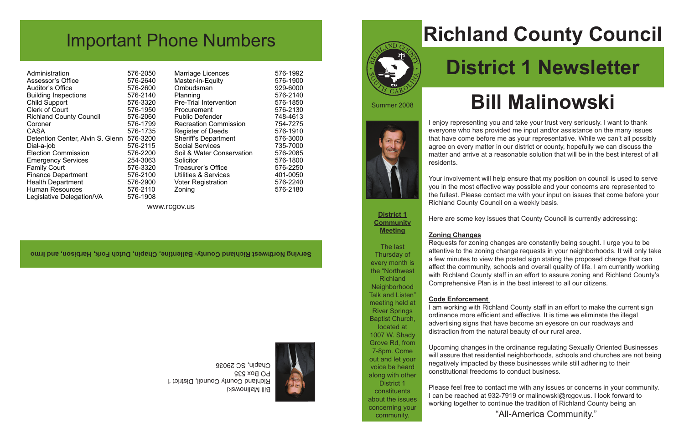Marriage Licences 576-1992<br>Master-in-Equity 576-1900 Master-in-Equity 576-1900<br>
Ombudsman 929-6000 Ombudsman<br>Planning Pre-Trial Intervention 576-1850<br>Procurement 576-2130 Procurement 576-2130<br>Public Defender 748-4613 Public Defender 748-4613<br>Recreation Commission 754-7275 Recreation Commission 754-7275<br>Register of Deeds 576-1910 Register of Deeds 576-1910<br>Sheriff's Department 576-3000 Sheriff's Department 576-3000<br>Social Services 735-7000 Social Services 735-7000<br>Soil & Water Conservation 576-2085 Soil & Water Conservation Solicitor 576-1800<br>Treasurer's Office 576-2250 Treasurer's Office<br>Utilities & Services 401-0050 Utilities & Services 401-0050<br>Voter Registration 576-2240 Voter Registration Zoning 576-2180

576-2140<br>576-1850

Bill Malinowski Richland County Council, District 1 PO Box 535 Chapin, SC 29036

# **Richland County Council District 1 Newsletter**

## **Bill Malinowski**

## Important Phone Numbers

Administration 576-2050<br>Assessor's Office 576-2640 Assessor's Office 576-2640<br>Auditor's Office 576-2600 Auditor's Office 576-2600<br>Building Inspections 576-2140 Building Inspections 576-2140<br>Child Support 576-3320 Child Support 576-3320<br>Clerk of Court 576-1950 Clerk of Court<br>Richland County Council 576-2060 **Richland County Council** Coroner 576-1799 CASA 576-1735 Detention Center, Alvin S. Glenn 576-3200 Dial-a-job 576-2115<br>Election Commission 576-2200 Election Commission 576-2200<br>Emergency Services 254-3063 Emergency Services 254-3063<br>Family Court 576-3320 Family Court 576-3320<br>Finance Department 576-2100 Finance Department 576-2100<br>Health Department 576-2900 Health Department Human Resources 576-2110<br>Legislative Delegation/VA 576-1908 Legislative Delegation/VA

**Serving Northwest Richland County- Ballentine, Chapin, Dutch Fork, Harbison, and Irmo** 



www.rcgov.us

I enjoy representing you and take your trust very seriously. I want to thank everyone who has provided me input and/or assistance on the many issues that have come before me as your representative. While we can't all possibly agree on every matter in our district or county, hopefully we can discuss the matter and arrive at a reasonable solution that will be in the best interest of all residents.

Your involvement will help ensure that my position on council is used to serve you in the most effective way possible and your concerns are represented to the fullest. Please contact me with your input on issues that come before your Richland County Council on a weekly basis.

Here are some key issues that County Council is currently addressing:

### **Zoning Changes**

Requests for zoning changes are constantly being sought. I urge you to be attentive to the zoning change requests in your neighborhoods. It will only take a few minutes to view the posted sign stating the proposed change that can affect the community, schools and overall quality of life. I am currently working with Richland County staff in an effort to assure zoning and Richland County's Comprehensive Plan is in the best interest to all our citizens.

### **Code Enforcement**

I am working with Richland County staff in an effort to make the current sign ordinance more efficient and effective. It is time we eliminate the illegal advertising signs that have become an eyesore on our roadways and distraction from the natural beauty of our rural area.

Upcoming changes in the ordinance regulating Sexually Oriented Businesses will assure that residential neighborhoods, schools and churches are not being negatively impacted by these businesses while still adhering to their constitutional freedoms to conduct business.

Please feel free to contact me with any issues or concerns in your community. I can be reached at 932-7919 or malinowski@rcgov.us. I look forward to working together to continue the tradition of Richland County being an

"All-America Community."

**District 1 Community Meeting**

The last Thursday of every month is the "Northwest **Richland Neighborhood** Talk and Listen" meeting held at River Springs Baptist Church, located at 1007 W. Shady Grove Rd, from 7-8pm. Come out and let your voice be heard along with other District 1 constituents about the issues concerning your community.

Summer 2008